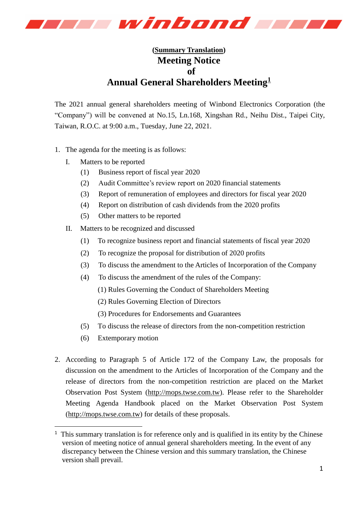

## **(Summary Translation) Meeting Notice of Annual General Shareholders Meeting<sup>1</sup>**

The 2021 annual general shareholders meeting of Winbond Electronics Corporation (the "Company") will be convened at No.15, Ln.168, Xingshan Rd., Neihu Dist., Taipei City, Taiwan, R.O.C. at 9:00 a.m., Tuesday, June 22, 2021.

- 1. The agenda for the meeting is as follows:
	- I. Matters to be reported
		- (1) Business report of fiscal year 2020
		- (2) Audit Committee's review report on 2020 financial statements
		- (3) Report of remuneration of employees and directors for fiscal year 2020
		- (4) Report on distribution of cash dividends from the 2020 profits
		- (5) Other matters to be reported
	- II. Matters to be recognized and discussed
		- (1) To recognize business report and financial statements of fiscal year 2020
		- (2) To recognize the proposal for distribution of 2020 profits
		- (3) To discuss the amendment to the Articles of Incorporation of the Company
		- (4) To discuss the amendment of the rules of the Company:
			- (1) Rules Governing the Conduct of Shareholders Meeting
			- (2) Rules Governing Election of Directors
			- (3) Procedures for Endorsements and Guarantees
		- (5) To discuss the release of directors from the non-competition restriction
		- (6) Extemporary motion

-

2. According to Paragraph 5 of Article 172 of the Company Law, the proposals for discussion on the amendment to the Articles of Incorporation of the Company and the release of directors from the non-competition restriction are placed on the Market Observation Post System [\(http://mops.twse.com.tw\)](http://mops.twse.com.tw/). Please refer to the Shareholder Meeting Agenda Handbook placed on the Market Observation Post System [\(http://mops.twse.com.tw\)](http://mops.twse.com.tw/) for details of these proposals.

 $<sup>1</sup>$  This summary translation is for reference only and is qualified in its entity by the Chinese</sup> version of meeting notice of annual general shareholders meeting. In the event of any discrepancy between the Chinese version and this summary translation, the Chinese version shall prevail.